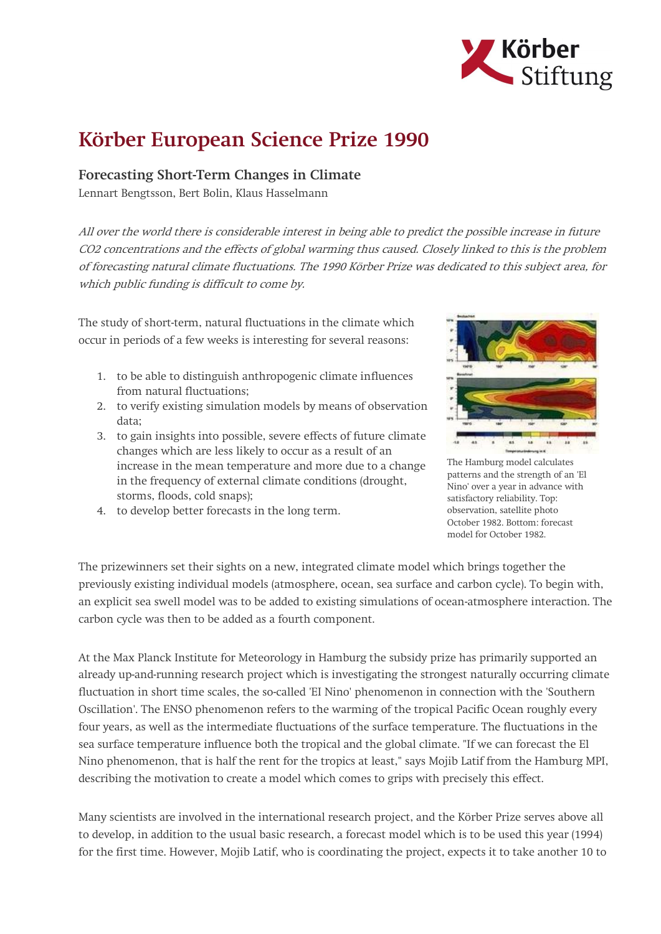

## Körber European Science Prize 1990

## Forecasting Short-Term Changes in Climate

Lennart Bengtsson, Bert Bolin, Klaus Hasselmann

All over the world there is considerable interest in being able to predict the possible increase in future CO2 concentrations and the effects of global warming thus caused. Closely linked to this is the problem of forecasting natural climate fluctuations. The 1990 Körber Prize was dedicated to this subject area, for which public funding is difficult to come by.

The study of short-term, natural fluctuations in the climate which occur in periods of a few weeks is interesting for several reasons:

- 1. to be able to distinguish anthropogenic climate influences from natural fluctuations;
- 2. to verify existing simulation models by means of observation data;
- 3. to gain insights into possible, severe effects of future climate changes which are less likely to occur as a result of an increase in the mean temperature and more due to a change in the frequency of external climate conditions (drought, storms, floods, cold snaps);
- 4. to develop better forecasts in the long term.



The Hamburg model calculates patterns and the strength of an 'El Nino' over a year in advance with satisfactory reliability. Top: observation, satellite photo October 1982. Bottom: forecast model for October 1982.

The prizewinners set their sights on a new, integrated climate model which brings together the previously existing individual models (atmosphere, ocean, sea surface and carbon cycle). To begin with, an explicit sea swell model was to be added to existing simulations of ocean-atmosphere interaction. The carbon cycle was then to be added as a fourth component.

At the Max Planck Institute for Meteorology in Hamburg the subsidy prize has primarily supported an already up-and-running research project which is investigating the strongest naturally occurring climate fluctuation in short time scales, the so-called 'EI Nino' phenomenon in connection with the 'Southern Oscillation'. The ENSO phenomenon refers to the warming of the tropical Pacific Ocean roughly every four years, as well as the intermediate fluctuations of the surface temperature. The fluctuations in the sea surface temperature influence both the tropical and the global climate. "If we can forecast the El Nino phenomenon, that is half the rent for the tropics at least," says Mojib Latif from the Hamburg MPI, describing the motivation to create a model which comes to grips with precisely this effect.

Many scientists are involved in the international research project, and the Körber Prize serves above all to develop, in addition to the usual basic research, a forecast model which is to be used this year (1994) for the first time. However, Mojib Latif, who is coordinating the project, expects it to take another 10 to